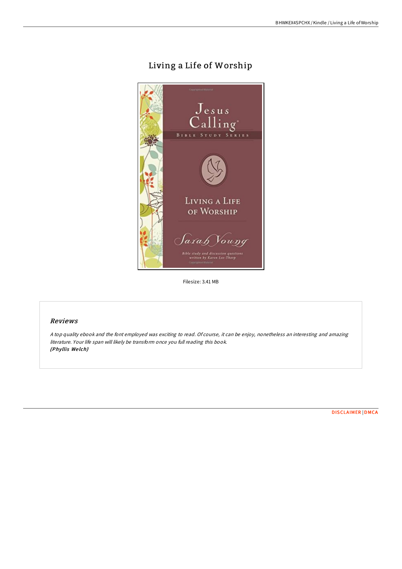# Living a Life of Worship



Filesize: 3.41 MB

#### Reviews

<sup>A</sup> top quality ebook and the font employed was exciting to read. Of course, it can be enjoy, nonetheless an interesting and amazing literature. Your life span will likely be transform once you full reading this book. (Phyllis We lch)

[DISCLAIMER](http://almighty24.tech/disclaimer.html) | [DMCA](http://almighty24.tech/dmca.html)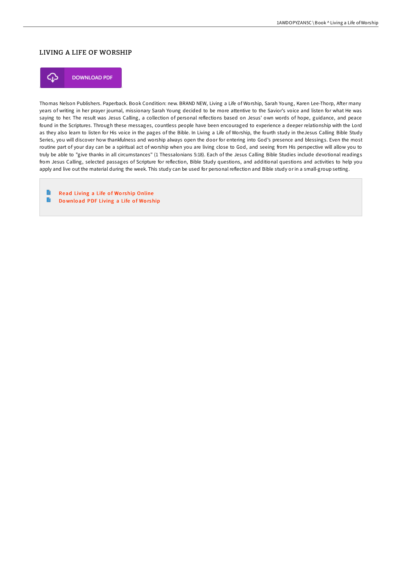### LIVING A LIFE OF WORSHIP



Thomas Nelson Publishers. Paperback. Book Condition: new. BRAND NEW, Living a Life of Worship, Sarah Young, Karen Lee-Thorp, After many years of writing in her prayer journal, missionary Sarah Young decided to be more attentive to the Savior's voice and listen for what He was saying to her. The result was Jesus Calling, a collection of personal reflections based on Jesus' own words of hope, guidance, and peace found in the Scriptures. Through these messages, countless people have been encouraged to experience a deeper relationship with the Lord as they also learn to listen for His voice in the pages of the Bible. In Living a Life of Worship, the fourth study in theJesus Calling Bible Study Series, you will discover how thankfulness and worship always open the door for entering into God's presence and blessings. Even the most routine part of your day can be a spiritual act of worship when you are living close to God, and seeing from His perspective will allow you to truly be able to "give thanks in all circumstances" (1 Thessalonians 5:18). Each of the Jesus Calling Bible Studies include devotional readings from Jesus Calling, selected passages of Scripture for reflection, Bible Study questions, and additional questions and activities to help you apply and live out the material during the week. This study can be used for personal reflection and Bible study or in a small-group setting.

**P** Read Living a Life of Worship [Online](http://almighty24.tech/living-a-life-of-worship.html)  $\rightarrow$ Download PDF [Living](http://almighty24.tech/living-a-life-of-worship.html) a Life of Worship